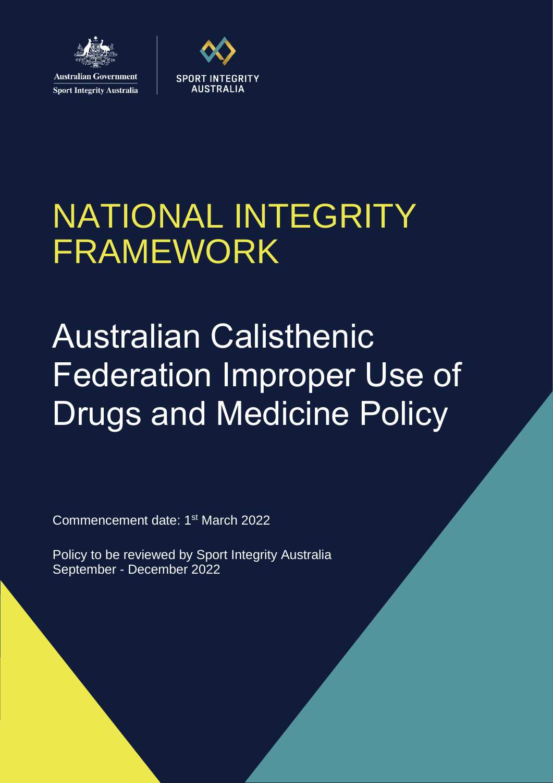

**Sport Integrity Australia** 



# NATIONAL INTEGRITY FRAMEWORK

# Australian Calisthenic Federation Improper Use of Drugs and Medicine Policy

Commencement date: 1<sup>st</sup> March 2022

Policy to be reviewed by Sport Integrity Australia September - December 2022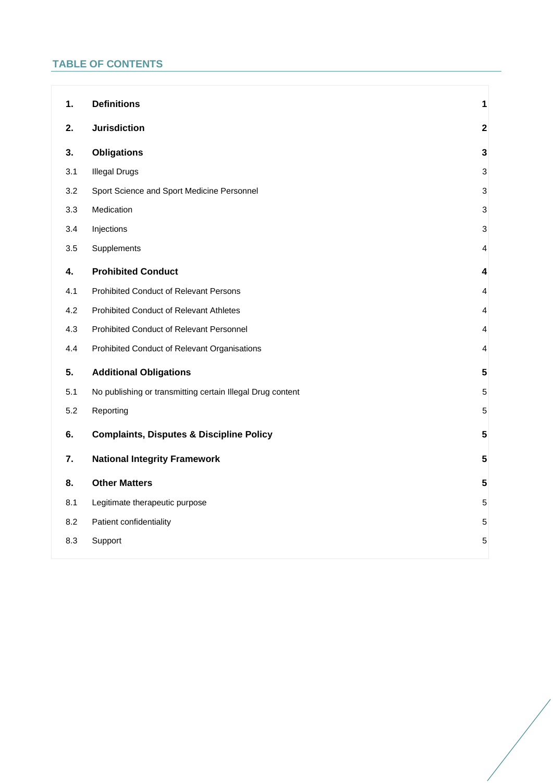# **TABLE OF CONTENTS**

| <b>Definitions</b>                                         | 1                         |
|------------------------------------------------------------|---------------------------|
| <b>Jurisdiction</b>                                        | $\overline{\mathbf{2}}$   |
| <b>Obligations</b>                                         | $\mathbf{3}$              |
| <b>Illegal Drugs</b>                                       | $\ensuremath{\mathsf{3}}$ |
| Sport Science and Sport Medicine Personnel                 | $\mathbf{3}$              |
| Medication                                                 | 3                         |
| Injections                                                 | 3                         |
| Supplements                                                | 4                         |
| <b>Prohibited Conduct</b>                                  | 4                         |
| Prohibited Conduct of Relevant Persons                     | 4                         |
| <b>Prohibited Conduct of Relevant Athletes</b>             | 4                         |
| Prohibited Conduct of Relevant Personnel                   | 4                         |
| Prohibited Conduct of Relevant Organisations               | 4                         |
| <b>Additional Obligations</b>                              | $\overline{\mathbf{5}}$   |
| No publishing or transmitting certain Illegal Drug content | 5                         |
| Reporting                                                  | 5                         |
| <b>Complaints, Disputes &amp; Discipline Policy</b>        | 5                         |
| <b>National Integrity Framework</b>                        | $5\phantom{.0}$           |
| <b>Other Matters</b>                                       | $5\phantom{.0}$           |
| Legitimate therapeutic purpose                             | 5                         |
| Patient confidentiality                                    | $\mathbf 5$               |
| Support                                                    | 5                         |
|                                                            |                           |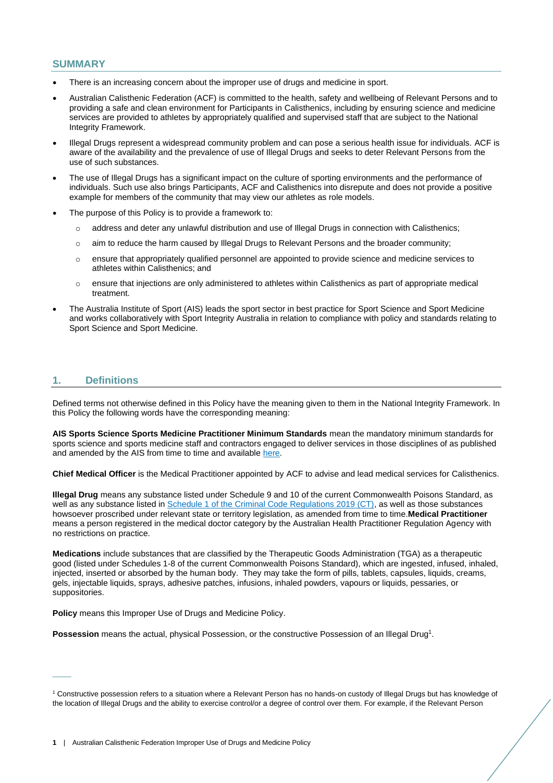# **SUMMARY**

- There is an increasing concern about the improper use of drugs and medicine in sport.
- Australian Calisthenic Federation (ACF) is committed to the health, safety and wellbeing of Relevant Persons and to providing a safe and clean environment for Participants in Calisthenics, including by ensuring science and medicine services are provided to athletes by appropriately qualified and supervised staff that are subject to the National Integrity Framework.
- Illegal Drugs represent a widespread community problem and can pose a serious health issue for individuals. ACF is aware of the availability and the prevalence of use of Illegal Drugs and seeks to deter Relevant Persons from the use of such substances.
- The use of Illegal Drugs has a significant impact on the culture of sporting environments and the performance of individuals. Such use also brings Participants, ACF and Calisthenics into disrepute and does not provide a positive example for members of the community that may view our athletes as role models.
- The purpose of this Policy is to provide a framework to:
	- o address and deter any unlawful distribution and use of Illegal Drugs in connection with Calisthenics;
	- o aim to reduce the harm caused by Illegal Drugs to Relevant Persons and the broader community;
	- o ensure that appropriately qualified personnel are appointed to provide science and medicine services to athletes within Calisthenics; and
	- o ensure that injections are only administered to athletes within Calisthenics as part of appropriate medical treatment.
- The Australia Institute of Sport (AIS) leads the sport sector in best practice for Sport Science and Sport Medicine and works collaboratively with Sport Integrity Australia in relation to compliance with policy and standards relating to Sport Science and Sport Medicine.

# <span id="page-2-0"></span>**1. Definitions**

 $\overline{\phantom{a}}$ 

Defined terms not otherwise defined in this Policy have the meaning given to them in the National Integrity Framework. In this Policy the following words have the corresponding meaning:

**AIS Sports Science Sports Medicine Practitioner Minimum Standards** mean the mandatory minimum standards for sports science and sports medicine staff and contractors engaged to deliver services in those disciplines of as published and amended by the AIS from time to time and available [here.](https://www.ais.gov.au/position_statements#ais_sports_science_sports_medicine_practitioner_minimum_standards)

**Chief Medical Officer** is the Medical Practitioner appointed by ACF to advise and lead medical services for Calisthenics.

**Illegal Drug** means any substance listed under Schedule 9 and 10 of the current Commonwealth Poisons Standard, as well as any substance listed in [Schedule 1 of the Criminal Code Regulations 2019 \(CT\),](https://www.legislation.gov.au/Details/F2020C00785) as well as those substances howsoever proscribed under relevant state or territory legislation, as amended from time to time.**Medical Practitioner**  means a person registered in the medical doctor category by the Australian Health Practitioner Regulation Agency with no restrictions on practice.

**Medications** include substances that are classified by the Therapeutic Goods Administration (TGA) as a therapeutic good (listed under Schedules 1-8 of the current Commonwealth Poisons Standard), which are ingested, infused, inhaled, injected, inserted or absorbed by the human body. They may take the form of pills, tablets, capsules, liquids, creams, gels, injectable liquids, sprays, adhesive patches, infusions, inhaled powders, vapours or liquids, pessaries, or suppositories.

**Policy** means this Improper Use of Drugs and Medicine Policy.

Possession means the actual, physical Possession, or the constructive Possession of an Illegal Drug<sup>1</sup>.

<sup>1</sup> Constructive possession refers to a situation where a Relevant Person has no hands-on custody of Illegal Drugs but has knowledge of the location of Illegal Drugs and the ability to exercise control/or a degree of control over them. For example, if the Relevant Person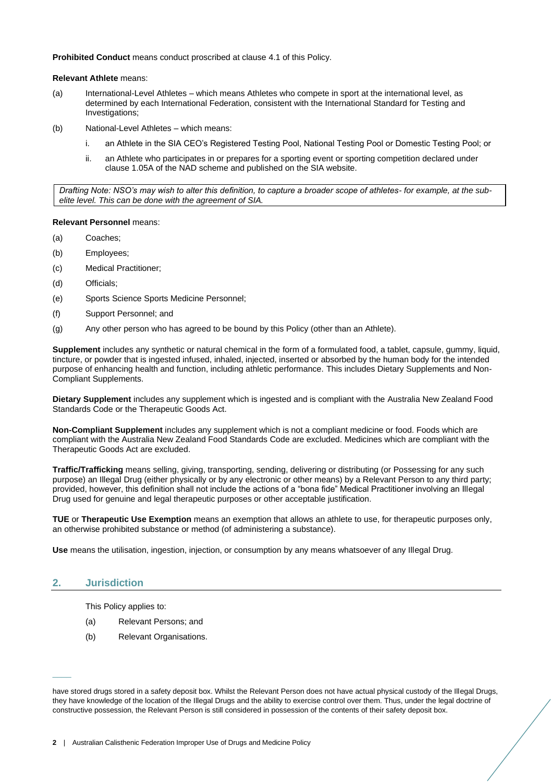**Prohibited Conduct** means conduct proscribed at clause [4.1](#page-5-2) of this Policy.

**Relevant Athlete** means:

- (a) International-Level Athletes which means Athletes who compete in sport at the international level, as determined by each International Federation, consistent with the International Standard for Testing and Investigations;
- (b) National-Level Athletes which means:
	- i. an Athlete in the SIA CEO's Registered Testing Pool, National Testing Pool or Domestic Testing Pool; or
	- ii. an Athlete who participates in or prepares for a sporting event or sporting competition declared under clause 1.05A of the NAD scheme and published on the SIA website.

*Drafting Note: NSO's may wish to alter this definition, to capture a broader scope of athletes- for example, at the subelite level. This can be done with the agreement of SIA.*

### **Relevant Personnel** means:

- (a) Coaches;
- (b) Employees;
- (c) Medical Practitioner;
- (d) Officials;
- (e) Sports Science Sports Medicine Personnel;
- (f) Support Personnel; and
- (g) Any other person who has agreed to be bound by this Policy (other than an Athlete).

**Supplement** includes any synthetic or natural chemical in the form of a formulated food, a tablet, capsule, gummy, liquid, tincture, or powder that is ingested infused, inhaled, injected, inserted or absorbed by the human body for the intended purpose of enhancing health and function, including athletic performance. This includes Dietary Supplements and Non-Compliant Supplements.

**Dietary Supplement** includes any supplement which is ingested and is compliant with the Australia New Zealand Food Standards Code or the Therapeutic Goods Act.

**Non-Compliant Supplement** includes any supplement which is not a compliant medicine or food. Foods which are compliant with the Australia New Zealand Food Standards Code are excluded. Medicines which are compliant with the Therapeutic Goods Act are excluded.

**Traffic/Trafficking** means selling, giving, transporting, sending, delivering or distributing (or Possessing for any such purpose) an Illegal Drug (either physically or by any electronic or other means) by a Relevant Person to any third party; provided, however, this definition shall not include the actions of a "bona fide" Medical Practitioner involving an Illegal Drug used for genuine and legal therapeutic purposes or other acceptable justification.

**TUE** or **Therapeutic Use Exemption** means an exemption that allows an athlete to use, for therapeutic purposes only, an otherwise prohibited substance or method (of administering a substance).

**Use** means the utilisation, ingestion, injection, or consumption by any means whatsoever of any Illegal Drug.

# <span id="page-3-0"></span>**2. Jurisdiction**

 $\overline{\phantom{a}}$ 

This Policy applies to:

- (a) Relevant Persons; and
- (b) Relevant Organisations.

have stored drugs stored in a safety deposit box. Whilst the Relevant Person does not have actual physical custody of the Illegal Drugs, they have knowledge of the location of the Illegal Drugs and the ability to exercise control over them. Thus, under the legal doctrine of constructive possession, the Relevant Person is still considered in possession of the contents of their safety deposit box.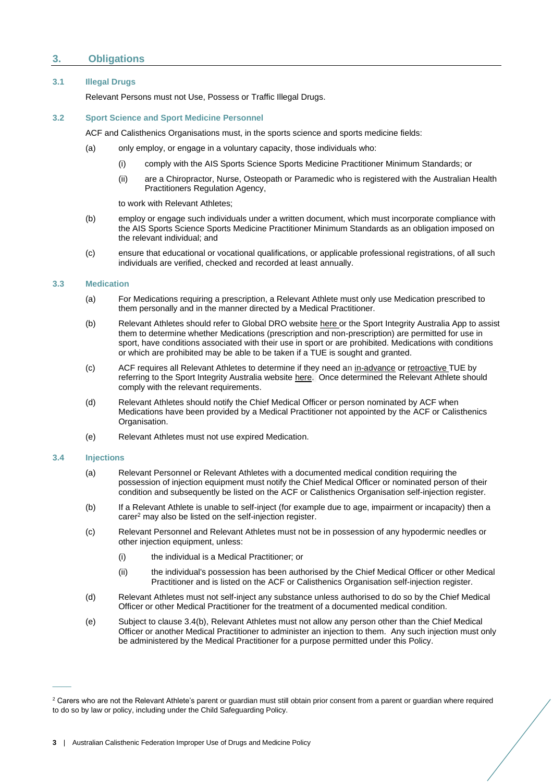# <span id="page-4-0"></span>**3. Obligations**

#### <span id="page-4-1"></span>**3.1 Illegal Drugs**

Relevant Persons must not Use, Possess or Traffic Illegal Drugs.

# <span id="page-4-2"></span>**3.2 Sport Science and Sport Medicine Personnel**

ACF and Calisthenics Organisations must, in the sports science and sports medicine fields:

- (a) only employ, or engage in a voluntary capacity, those individuals who:
	- (i) comply with the AIS Sports Science Sports Medicine Practitioner Minimum Standards; or
	- (ii) are a Chiropractor, Nurse, Osteopath or Paramedic who is registered with the Australian Health Practitioners Regulation Agency,

to work with Relevant Athletes;

- (b) employ or engage such individuals under a written document, which must incorporate compliance with the AIS Sports Science Sports Medicine Practitioner Minimum Standards as an obligation imposed on the relevant individual; and
- (c) ensure that educational or vocational qualifications, or applicable professional registrations, of all such individuals are verified, checked and recorded at least annually.

#### <span id="page-4-3"></span>**3.3 Medication**

- (a) For Medications requiring a prescription, a Relevant Athlete must only use Medication prescribed to them personally and in the manner directed by a Medical Practitioner.
- (b) Relevant Athletes should refer to Global DRO websit[e here](https://globaldro.com/AU/search) or the Sport Integrity Australia App to assist them to determine whether Medications (prescription and non-prescription) are permitted for use in sport, have conditions associated with their use in sport or are prohibited. Medications with conditions or which are prohibited may be able to be taken if a TUE is sought and granted.
- (c) ACF requires all Relevant Athletes to determine if they need an [in-advance](https://www.sportintegrity.gov.au/resources/therapeutic-use-exemption/advance-therapeutic-use-exemption) or [retroactive](https://www.sportintegrity.gov.au/resources/therapeutic-use-exemption/retroactive-therapeutic-use-exemption) TUE by referring to the Sport Integrity Australia websit[e here.](https://www.sportintegrity.gov.au/resources/therapeutic-use-exemption) Once determined the Relevant Athlete should comply with the relevant requirements.
- (d) Relevant Athletes should notify the Chief Medical Officer or person nominated by ACF when Medications have been provided by a Medical Practitioner not appointed by the ACF or Calisthenics Organisation.
- (e) Relevant Athletes must not use expired Medication.

#### <span id="page-4-4"></span>**3.4 Injections**

 $\overline{\phantom{a}}$ 

- (a) Relevant Personnel or Relevant Athletes with a documented medical condition requiring the possession of injection equipment must notify the Chief Medical Officer or nominated person of their condition and subsequently be listed on the ACF or Calisthenics Organisation self-injection register.
- (b) If a Relevant Athlete is unable to self-inject (for example due to age, impairment or incapacity) then a carer<sup>2</sup> may also be listed on the self-injection register.
- <span id="page-4-5"></span>(c) Relevant Personnel and Relevant Athletes must not be in possession of any hypodermic needles or other injection equipment, unless:
	- (i) the individual is a Medical Practitioner; or
	- (ii) the individual's possession has been authorised by the Chief Medical Officer or other Medical Practitioner and is listed on the ACF or Calisthenics Organisation self-injection register.
- <span id="page-4-6"></span>(d) Relevant Athletes must not self-inject any substance unless authorised to do so by the Chief Medical Officer or other Medical Practitioner for the treatment of a documented medical condition.
- <span id="page-4-7"></span>(e) Subject to clause 3.4(b), Relevant Athletes must not allow any person other than the Chief Medical Officer or another Medical Practitioner to administer an injection to them. Any such injection must only be administered by the Medical Practitioner for a purpose permitted under this Policy.

<sup>&</sup>lt;sup>2</sup> Carers who are not the Relevant Athlete's parent or guardian must still obtain prior consent from a parent or guardian where required to do so by law or policy, including under the Child Safeguarding Policy.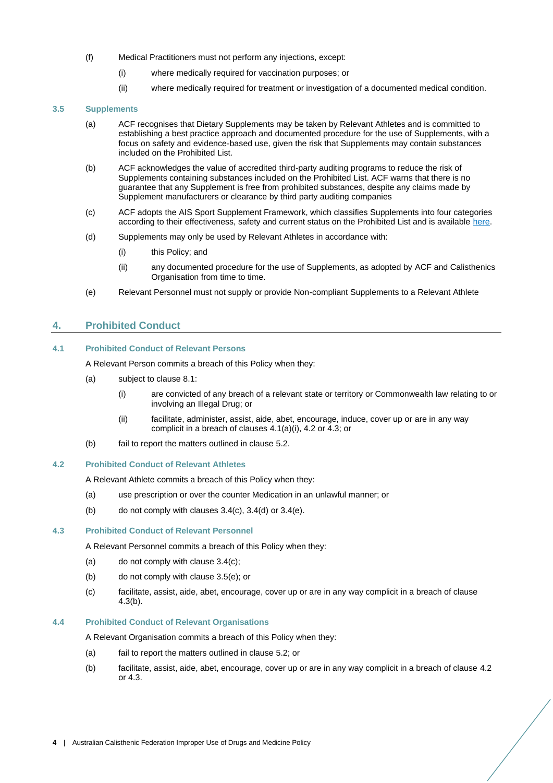- (f) Medical Practitioners must not perform any injections, except:
	- (i) where medically required for vaccination purposes; or
	- (ii) where medically required for treatment or investigation of a documented medical condition.

#### <span id="page-5-0"></span>**3.5 Supplements**

- (a) ACF recognises that Dietary Supplements may be taken by Relevant Athletes and is committed to establishing a best practice approach and documented procedure for the use of Supplements, with a focus on safety and evidence-based use, given the risk that Supplements may contain substances included on the Prohibited List.
- (b) ACF acknowledges the value of accredited third-party auditing programs to reduce the risk of Supplements containing substances included on the Prohibited List. ACF warns that there is no guarantee that any Supplement is free from prohibited substances, despite any claims made by Supplement manufacturers or clearance by third party auditing companies
- (c) ACF adopts the AIS Sport Supplement Framework, which classifies Supplements into four categories according to their effectiveness, safety and current status on the Prohibited List and is available [here.](https://www.ais.gov.au/__data/assets/pdf_file/0004/698557/AIS-Sports-Supplement-Framework-2019.pdf)
- (d) Supplements may only be used by Relevant Athletes in accordance with:
	- (i) this Policy; and
	- (ii) any documented procedure for the use of Supplements, as adopted by ACF and Calisthenics Organisation from time to time.
- (e) Relevant Personnel must not supply or provide Non-compliant Supplements to a Relevant Athlete

# <span id="page-5-7"></span><span id="page-5-1"></span>**4. Prohibited Conduct**

# <span id="page-5-6"></span><span id="page-5-2"></span>**4.1 Prohibited Conduct of Relevant Persons**

A Relevant Person commits a breach of this Policy when they:

- (a) subject to clause [8.1:](#page-6-6)
	- (i) are convicted of any breach of a relevant state or territory or Commonwealth law relating to or involving an Illegal Drug; or
	- (ii) facilitate, administer, assist, aide, abet, encourage, induce, cover up or are in any way complicit in a breach of clauses [4.1\(a\)\(](#page-5-6)i), [4.2](#page-5-3) o[r 4.3;](#page-5-4) or
- (b) fail to report the matters outlined in clause [5.2.](#page-6-2)

#### <span id="page-5-3"></span>**4.2 Prohibited Conduct of Relevant Athletes**

A Relevant Athlete commits a breach of this Policy when they:

- (a) use prescription or over the counter Medication in an unlawful manner; or
- (b) do not comply with clauses  $3.4(c)$ ,  $3.4(d)$  or  $3.4(e)$ .

#### <span id="page-5-4"></span>**4.3 Prohibited Conduct of Relevant Personnel**

A Relevant Personnel commits a breach of this Policy when they:

- $(a)$  do not comply with clause 3.4 $(c)$ :
- <span id="page-5-8"></span>(b) do not comply with clause [3.5\(e\);](#page-5-7) or
- (c) facilitate, assist, aide, abet, encourage, cover up or are in any way complicit in a breach of clause [4.3\(b\).](#page-5-8)

#### <span id="page-5-5"></span>**4.4 Prohibited Conduct of Relevant Organisations**

A Relevant Organisation commits a breach of this Policy when they:

- (a) fail to report the matters outlined in clause [5.2;](#page-6-2) or
- (b) facilitate, assist, aide, abet, encourage, cover up or are in any way complicit in a breach of clause [4.2](#page-5-3) or [4.3.](#page-5-4)